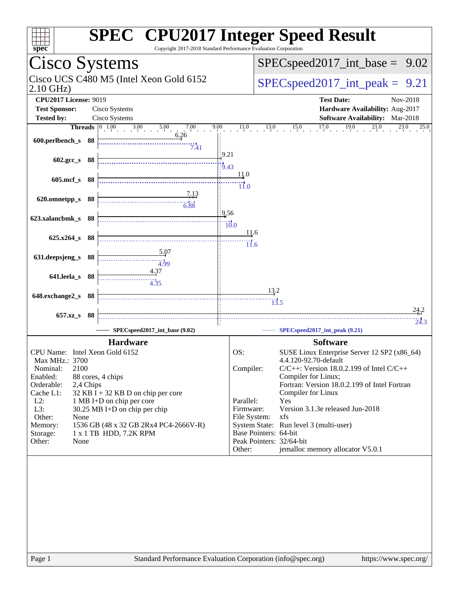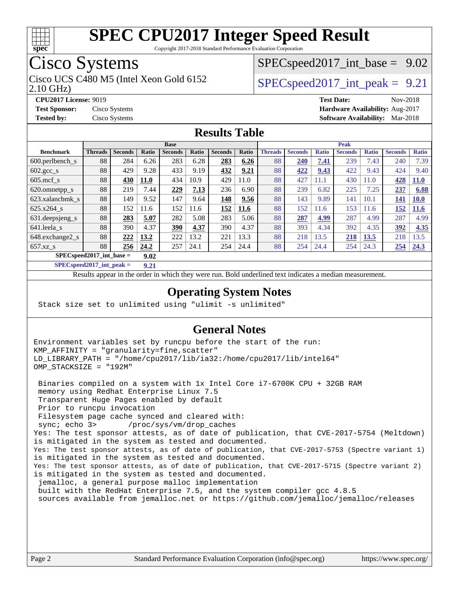

Copyright 2017-2018 Standard Performance Evaluation Corporation

## Cisco Systems

Cisco UCS C480 M5 (Intel Xeon Gold 6152  $\vert$  [SPECspeed2017\\_int\\_peak =](http://www.spec.org/auto/cpu2017/Docs/result-fields.html#SPECspeed2017intpeak) 9.21

 $SPECspeed2017\_int\_base = 9.02$ 

2.10 GHz)

**[CPU2017 License:](http://www.spec.org/auto/cpu2017/Docs/result-fields.html#CPU2017License)** 9019 **[Test Date:](http://www.spec.org/auto/cpu2017/Docs/result-fields.html#TestDate)** Nov-2018 **[Test Sponsor:](http://www.spec.org/auto/cpu2017/Docs/result-fields.html#TestSponsor)** Cisco Systems **[Hardware Availability:](http://www.spec.org/auto/cpu2017/Docs/result-fields.html#HardwareAvailability)** Aug-2017 **[Tested by:](http://www.spec.org/auto/cpu2017/Docs/result-fields.html#Testedby)** Cisco Systems **[Software Availability:](http://www.spec.org/auto/cpu2017/Docs/result-fields.html#SoftwareAvailability)** Mar-2018

### **[Results Table](http://www.spec.org/auto/cpu2017/Docs/result-fields.html#ResultsTable)**

|                                     | <b>Base</b>    |                |              |                |       | <b>Peak</b>    |       |                |                |              |                |              |                |              |
|-------------------------------------|----------------|----------------|--------------|----------------|-------|----------------|-------|----------------|----------------|--------------|----------------|--------------|----------------|--------------|
| <b>Benchmark</b>                    | <b>Threads</b> | <b>Seconds</b> | <b>Ratio</b> | <b>Seconds</b> | Ratio | <b>Seconds</b> | Ratio | <b>Threads</b> | <b>Seconds</b> | <b>Ratio</b> | <b>Seconds</b> | <b>Ratio</b> | <b>Seconds</b> | <b>Ratio</b> |
| 600.perlbench s                     | 88             | 284            | 6.26         | 283            | 6.28  | 283            | 6.26  | 88             | 240            | 7.41         | 239            | 7.43         | 240            | 7.39         |
| $602 \text{.} \text{gcc}\text{.}$ s | 88             | 429            | 9.28         | 433            | 9.19  | 432            | 9.21  | 88             | 422            | 9.43         | 422            | 9.43         | 424            | 9.40         |
| $605$ .mcf s                        | 88             | 430            | <b>11.0</b>  | 434            | 10.9  | 429            | 11.0  | 88             | 427            | 11.1         | 430            | 11.0         | 428            | <b>11.0</b>  |
| 620.omnetpp_s                       | 88             | 219            | 7.44         | 229            | 7.13  | 236            | 6.90  | 88             | 239            | 6.82         | 225            | 7.25         | 237            | 6.88         |
| 623.xalancbmk s                     | 88             | 149            | 9.52         | 147            | 9.64  | 148            | 9.56  | 88             | 143            | 9.89         | 141            | 10.1         | 141            | <b>10.0</b>  |
| 625.x264 s                          | 88             | 152            | 11.6         | 152            | 11.6  | 152            | 11.6  | 88             | 152            | 11.6         | 153            | 11.6         | 152            | 11.6         |
| $631.$ deepsjeng $s$                | 88             | 283            | 5.07         | 282            | 5.08  | 283            | 5.06  | 88             | 287            | 4.99         | 287            | 4.99         | 287            | 4.99         |
| 641.leela s                         | 88             | 390            | 4.37         | 390            | 4.37  | 390            | 4.37  | 88             | 393            | 4.34         | 392            | 4.35         | 392            | 4.35         |
| 648.exchange2_s                     | 88             | 222            | 13.2         | 222            | 13.2  | 221            | 13.3  | 88             | 218            | 13.5         | 218            | <u>13.5</u>  | 218            | 13.5         |
| $657.xz$ s                          | 88             | 256            | 24.2         | 257            | 24.1  | 254            | 24.4  | 88             | 254            | 24.4         | 254            | 24.3         | 254            | 24.3         |
| $SPEC speed2017$ int base =<br>9.02 |                |                |              |                |       |                |       |                |                |              |                |              |                |              |

**[SPECspeed2017\\_int\\_peak =](http://www.spec.org/auto/cpu2017/Docs/result-fields.html#SPECspeed2017intpeak) 9.21**

Results appear in the [order in which they were run.](http://www.spec.org/auto/cpu2017/Docs/result-fields.html#RunOrder) Bold underlined text [indicates a median measurement](http://www.spec.org/auto/cpu2017/Docs/result-fields.html#Median).

### **[Operating System Notes](http://www.spec.org/auto/cpu2017/Docs/result-fields.html#OperatingSystemNotes)**

Stack size set to unlimited using "ulimit -s unlimited"

#### **[General Notes](http://www.spec.org/auto/cpu2017/Docs/result-fields.html#GeneralNotes)**

Environment variables set by runcpu before the start of the run: KMP\_AFFINITY = "granularity=fine,scatter" LD\_LIBRARY\_PATH = "/home/cpu2017/lib/ia32:/home/cpu2017/lib/intel64" OMP\_STACKSIZE = "192M"

 Binaries compiled on a system with 1x Intel Core i7-6700K CPU + 32GB RAM memory using Redhat Enterprise Linux 7.5 Transparent Huge Pages enabled by default Prior to runcpu invocation Filesystem page cache synced and cleared with: sync; echo 3> /proc/sys/vm/drop\_caches Yes: The test sponsor attests, as of date of publication, that CVE-2017-5754 (Meltdown) is mitigated in the system as tested and documented. Yes: The test sponsor attests, as of date of publication, that CVE-2017-5753 (Spectre variant 1) is mitigated in the system as tested and documented. Yes: The test sponsor attests, as of date of publication, that CVE-2017-5715 (Spectre variant 2) is mitigated in the system as tested and documented. jemalloc, a general purpose malloc implementation built with the RedHat Enterprise 7.5, and the system compiler gcc 4.8.5 sources available from jemalloc.net or<https://github.com/jemalloc/jemalloc/releases>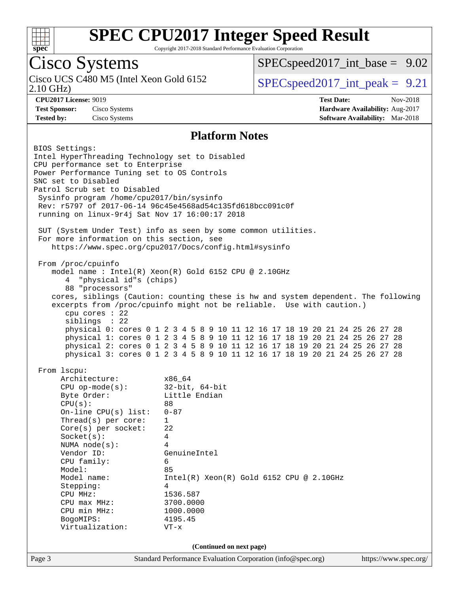

Copyright 2017-2018 Standard Performance Evaluation Corporation

## Cisco Systems

2.10 GHz) Cisco UCS C480 M5 (Intel Xeon Gold 6152  $\vert$  [SPECspeed2017\\_int\\_peak =](http://www.spec.org/auto/cpu2017/Docs/result-fields.html#SPECspeed2017intpeak) 9.21

 $SPECspeed2017\_int\_base = 9.02$ 

**[CPU2017 License:](http://www.spec.org/auto/cpu2017/Docs/result-fields.html#CPU2017License)** 9019 **[Test Date:](http://www.spec.org/auto/cpu2017/Docs/result-fields.html#TestDate)** Nov-2018 **[Test Sponsor:](http://www.spec.org/auto/cpu2017/Docs/result-fields.html#TestSponsor)** Cisco Systems **[Hardware Availability:](http://www.spec.org/auto/cpu2017/Docs/result-fields.html#HardwareAvailability)** Aug-2017 **[Tested by:](http://www.spec.org/auto/cpu2017/Docs/result-fields.html#Testedby)** Cisco Systems **[Software Availability:](http://www.spec.org/auto/cpu2017/Docs/result-fields.html#SoftwareAvailability)** Mar-2018

#### **[Platform Notes](http://www.spec.org/auto/cpu2017/Docs/result-fields.html#PlatformNotes)**

Page 3 Standard Performance Evaluation Corporation [\(info@spec.org\)](mailto:info@spec.org) <https://www.spec.org/> BIOS Settings: Intel HyperThreading Technology set to Disabled CPU performance set to Enterprise Power Performance Tuning set to OS Controls SNC set to Disabled Patrol Scrub set to Disabled Sysinfo program /home/cpu2017/bin/sysinfo Rev: r5797 of 2017-06-14 96c45e4568ad54c135fd618bcc091c0f running on linux-9r4j Sat Nov 17 16:00:17 2018 SUT (System Under Test) info as seen by some common utilities. For more information on this section, see <https://www.spec.org/cpu2017/Docs/config.html#sysinfo> From /proc/cpuinfo model name : Intel(R) Xeon(R) Gold 6152 CPU @ 2.10GHz 4 "physical id"s (chips) 88 "processors" cores, siblings (Caution: counting these is hw and system dependent. The following excerpts from /proc/cpuinfo might not be reliable. Use with caution.) cpu cores : 22 siblings : 22 physical 0: cores 0 1 2 3 4 5 8 9 10 11 12 16 17 18 19 20 21 24 25 26 27 28 physical 1: cores 0 1 2 3 4 5 8 9 10 11 12 16 17 18 19 20 21 24 25 26 27 28 physical 2: cores 0 1 2 3 4 5 8 9 10 11 12 16 17 18 19 20 21 24 25 26 27 28 physical 3: cores 0 1 2 3 4 5 8 9 10 11 12 16 17 18 19 20 21 24 25 26 27 28 From lscpu: Architecture: x86\_64 CPU op-mode(s): 32-bit, 64-bit Byte Order: Little Endian CPU(s): 88 On-line CPU(s) list: 0-87 Thread(s) per core: 1 Core(s) per socket: 22 Socket(s): 4 NUMA node(s): 4 Vendor ID: GenuineIntel CPU family: 6 Model: 85 Model name: Intel(R) Xeon(R) Gold 6152 CPU @ 2.10GHz Stepping: 4 CPU MHz: 1536.587 CPU max MHz: 3700.0000 CPU min MHz: 1000.0000 BogoMIPS: 4195.45 Virtualization: VT-x **(Continued on next page)**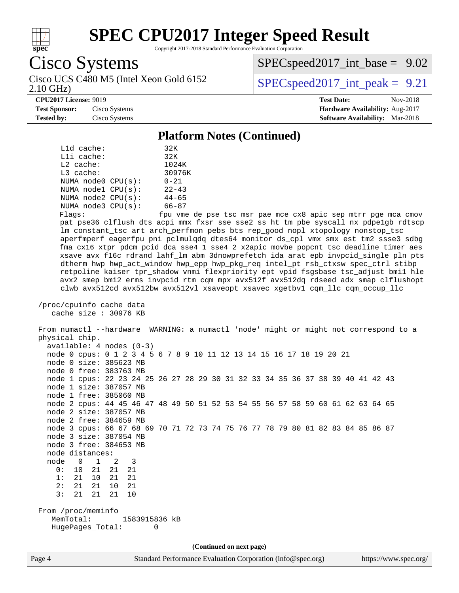

Copyright 2017-2018 Standard Performance Evaluation Corporation

Cisco Systems 2.10 GHz) Cisco UCS C480 M5 (Intel Xeon Gold 6152  $\vert$  [SPECspeed2017\\_int\\_peak =](http://www.spec.org/auto/cpu2017/Docs/result-fields.html#SPECspeed2017intpeak) 9.21

 $SPECspeed2017\_int\_base = 9.02$ 

#### **[CPU2017 License:](http://www.spec.org/auto/cpu2017/Docs/result-fields.html#CPU2017License)** 9019 **[Test Date:](http://www.spec.org/auto/cpu2017/Docs/result-fields.html#TestDate)** Nov-2018

**[Test Sponsor:](http://www.spec.org/auto/cpu2017/Docs/result-fields.html#TestSponsor)** Cisco Systems **[Hardware Availability:](http://www.spec.org/auto/cpu2017/Docs/result-fields.html#HardwareAvailability)** Aug-2017 **[Tested by:](http://www.spec.org/auto/cpu2017/Docs/result-fields.html#Testedby)** Cisco Systems **[Software Availability:](http://www.spec.org/auto/cpu2017/Docs/result-fields.html#SoftwareAvailability)** Mar-2018

#### **[Platform Notes \(Continued\)](http://www.spec.org/auto/cpu2017/Docs/result-fields.html#PlatformNotes)**

| L1d cache:              | 32K       |
|-------------------------|-----------|
| Lli cache:              | 32K       |
| $L2$ cache:             | 1024K     |
| $L3$ cache:             | 30976K    |
| NUMA $node0$ $CPU(s)$ : | $0 - 21$  |
| NUMA nodel CPU(s):      | $22 - 43$ |
| NUMA node2 CPU(s):      | $44 - 65$ |
| NUMA node3 CPU(s):      | $66 - 87$ |
|                         |           |

Flags: fpu vme de pse tsc msr pae mce cx8 apic sep mtrr pge mca cmov pat pse36 clflush dts acpi mmx fxsr sse sse2 ss ht tm pbe syscall nx pdpe1gb rdtscp lm constant\_tsc art arch\_perfmon pebs bts rep\_good nopl xtopology nonstop\_tsc aperfmperf eagerfpu pni pclmulqdq dtes64 monitor ds\_cpl vmx smx est tm2 ssse3 sdbg fma cx16 xtpr pdcm pcid dca sse4\_1 sse4\_2 x2apic movbe popcnt tsc\_deadline\_timer aes xsave avx f16c rdrand lahf\_lm abm 3dnowprefetch ida arat epb invpcid\_single pln pts dtherm hwp hwp\_act\_window hwp\_epp hwp\_pkg\_req intel\_pt rsb\_ctxsw spec\_ctrl stibp retpoline kaiser tpr\_shadow vnmi flexpriority ept vpid fsgsbase tsc\_adjust bmi1 hle avx2 smep bmi2 erms invpcid rtm cqm mpx avx512f avx512dq rdseed adx smap clflushopt clwb avx512cd avx512bw avx512vl xsaveopt xsavec xgetbv1 cqm\_llc cqm\_occup\_llc

```
 /proc/cpuinfo cache data
    cache size : 30976 KB
```
 From numactl --hardware WARNING: a numactl 'node' might or might not correspond to a physical chip. available: 4 nodes (0-3) node 0 cpus: 0 1 2 3 4 5 6 7 8 9 10 11 12 13 14 15 16 17 18 19 20 21 node 0 size: 385623 MB node 0 free: 383763 MB node 1 cpus: 22 23 24 25 26 27 28 29 30 31 32 33 34 35 36 37 38 39 40 41 42 43 node 1 size: 387057 MB node 1 free: 385060 MB node 2 cpus: 44 45 46 47 48 49 50 51 52 53 54 55 56 57 58 59 60 61 62 63 64 65 node 2 size: 387057 MB node 2 free: 384659 MB node 3 cpus: 66 67 68 69 70 71 72 73 74 75 76 77 78 79 80 81 82 83 84 85 86 87 node 3 size: 387054 MB node 3 free: 384653 MB node distances: node 0 1 2 3<br>0: 10 21 21 21 0: 10 21 21 21 1: 21 10 21 21 2: 21 21 10 21 3: 21 21 21 10 From /proc/meminfo MemTotal: 1583915836 kB HugePages\_Total: 0

**(Continued on next page)**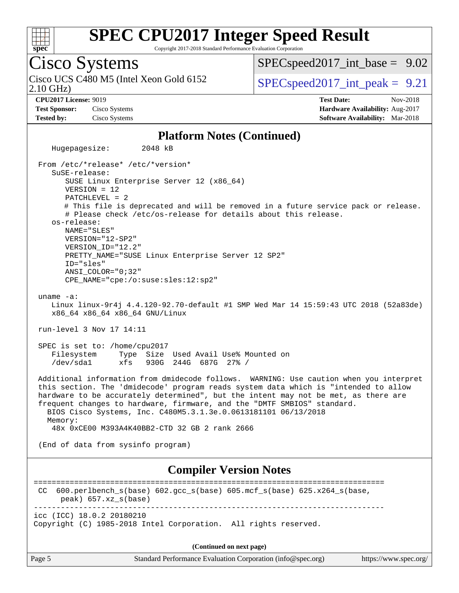

Copyright 2017-2018 Standard Performance Evaluation Corporation

## Cisco Systems

2.10 GHz) Cisco UCS C480 M5 (Intel Xeon Gold 6152  $\vert$  [SPECspeed2017\\_int\\_peak =](http://www.spec.org/auto/cpu2017/Docs/result-fields.html#SPECspeed2017intpeak) 9.21

 $SPECspeed2017\_int\_base = 9.02$ 

**[CPU2017 License:](http://www.spec.org/auto/cpu2017/Docs/result-fields.html#CPU2017License)** 9019 **[Test Date:](http://www.spec.org/auto/cpu2017/Docs/result-fields.html#TestDate)** Nov-2018 **[Test Sponsor:](http://www.spec.org/auto/cpu2017/Docs/result-fields.html#TestSponsor)** Cisco Systems **[Hardware Availability:](http://www.spec.org/auto/cpu2017/Docs/result-fields.html#HardwareAvailability)** Aug-2017 **[Tested by:](http://www.spec.org/auto/cpu2017/Docs/result-fields.html#Testedby)** Cisco Systems **[Software Availability:](http://www.spec.org/auto/cpu2017/Docs/result-fields.html#SoftwareAvailability)** Mar-2018

#### **[Platform Notes \(Continued\)](http://www.spec.org/auto/cpu2017/Docs/result-fields.html#PlatformNotes)**

 Hugepagesize: 2048 kB From /etc/\*release\* /etc/\*version\* SuSE-release: SUSE Linux Enterprise Server 12 (x86\_64) VERSION = 12 PATCHLEVEL = 2 # This file is deprecated and will be removed in a future service pack or release. # Please check /etc/os-release for details about this release. os-release: NAME="SLES" VERSION="12-SP2" VERSION\_ID="12.2" PRETTY\_NAME="SUSE Linux Enterprise Server 12 SP2" ID="sles" ANSI\_COLOR="0;32" CPE\_NAME="cpe:/o:suse:sles:12:sp2" uname -a: Linux linux-9r4j 4.4.120-92.70-default #1 SMP Wed Mar 14 15:59:43 UTC 2018 (52a83de) x86\_64 x86\_64 x86\_64 GNU/Linux run-level 3 Nov 17 14:11 SPEC is set to: /home/cpu2017 Filesystem Type Size Used Avail Use% Mounted on /dev/sda1 xfs 930G 244G 687G 27% / Additional information from dmidecode follows. WARNING: Use caution when you interpret this section. The 'dmidecode' program reads system data which is "intended to allow hardware to be accurately determined", but the intent may not be met, as there are frequent changes to hardware, firmware, and the "DMTF SMBIOS" standard. BIOS Cisco Systems, Inc. C480M5.3.1.3e.0.0613181101 06/13/2018 Memory: 48x 0xCE00 M393A4K40BB2-CTD 32 GB 2 rank 2666 (End of data from sysinfo program) **[Compiler Version Notes](http://www.spec.org/auto/cpu2017/Docs/result-fields.html#CompilerVersionNotes)** ============================================================================== CC 600.perlbench\_s(base) 602.gcc\_s(base) 605.mcf\_s(base) 625.x264\_s(base, peak) 657.xz\_s(base) ----------------------------------------------------------------------------- icc (ICC) 18.0.2 20180210 Copyright (C) 1985-2018 Intel Corporation. All rights reserved. **(Continued on next page)**

Page 5 Standard Performance Evaluation Corporation [\(info@spec.org\)](mailto:info@spec.org) <https://www.spec.org/>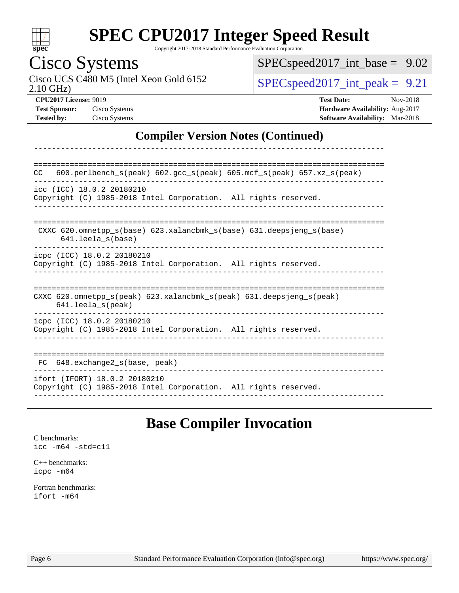

Copyright 2017-2018 Standard Performance Evaluation Corporation

# Cisco Systems<br>Cisco UCS C480 M5 (Intel Xeon Gold 6152

2.10 GHz)

[SPECspeed2017\\_int\\_base =](http://www.spec.org/auto/cpu2017/Docs/result-fields.html#SPECspeed2017intbase) 9.02

 $SPEC speed2017\_int\_peak = 9.21$ 

**[CPU2017 License:](http://www.spec.org/auto/cpu2017/Docs/result-fields.html#CPU2017License)** 9019 **[Test Date:](http://www.spec.org/auto/cpu2017/Docs/result-fields.html#TestDate)** Nov-2018 **[Test Sponsor:](http://www.spec.org/auto/cpu2017/Docs/result-fields.html#TestSponsor)** Cisco Systems **[Hardware Availability:](http://www.spec.org/auto/cpu2017/Docs/result-fields.html#HardwareAvailability)** Aug-2017 **[Tested by:](http://www.spec.org/auto/cpu2017/Docs/result-fields.html#Testedby)** Cisco Systems **[Software Availability:](http://www.spec.org/auto/cpu2017/Docs/result-fields.html#SoftwareAvailability)** Mar-2018

### **[Compiler Version Notes \(Continued\)](http://www.spec.org/auto/cpu2017/Docs/result-fields.html#CompilerVersionNotes)**

| 600.perlbench $s$ (peak) 602.gcc $s$ (peak) 605.mcf $s$ (peak) 657.xz $s$ (peak)<br><b>CC</b>                              |
|----------------------------------------------------------------------------------------------------------------------------|
| icc (ICC) 18.0.2 20180210<br>Copyright (C) 1985-2018 Intel Corporation. All rights reserved.                               |
| CXXC 620.omnetpp $s(base)$ 623.xalancbmk $s(base)$ 631.deepsjeng $s(base)$<br>$641.$ leela $s$ (base)                      |
| icpc (ICC) 18.0.2 20180210<br>Copyright (C) 1985-2018 Intel Corporation. All rights reserved.                              |
| CXXC 620.omnetpp $s(\text{peak})$ 623.xalancbmk $s(\text{peak})$ 631.deepsjeng $s(\text{peak})$<br>$641.$ leela $s$ (peak) |
| icpc (ICC) 18.0.2 20180210<br>Copyright (C) 1985-2018 Intel Corporation. All rights reserved.                              |
| 648.exchange2 s(base, peak)<br>FC.                                                                                         |
| ifort (IFORT) 18.0.2 20180210<br>Copyright (C) 1985-2018 Intel Corporation. All rights reserved.                           |

### **[Base Compiler Invocation](http://www.spec.org/auto/cpu2017/Docs/result-fields.html#BaseCompilerInvocation)**

[C benchmarks](http://www.spec.org/auto/cpu2017/Docs/result-fields.html#Cbenchmarks): [icc -m64 -std=c11](http://www.spec.org/cpu2017/results/res2018q4/cpu2017-20181127-09970.flags.html#user_CCbase_intel_icc_64bit_c11_33ee0cdaae7deeeab2a9725423ba97205ce30f63b9926c2519791662299b76a0318f32ddfffdc46587804de3178b4f9328c46fa7c2b0cd779d7a61945c91cd35)

[C++ benchmarks:](http://www.spec.org/auto/cpu2017/Docs/result-fields.html#CXXbenchmarks) [icpc -m64](http://www.spec.org/cpu2017/results/res2018q4/cpu2017-20181127-09970.flags.html#user_CXXbase_intel_icpc_64bit_4ecb2543ae3f1412ef961e0650ca070fec7b7afdcd6ed48761b84423119d1bf6bdf5cad15b44d48e7256388bc77273b966e5eb805aefd121eb22e9299b2ec9d9)

[Fortran benchmarks](http://www.spec.org/auto/cpu2017/Docs/result-fields.html#Fortranbenchmarks): [ifort -m64](http://www.spec.org/cpu2017/results/res2018q4/cpu2017-20181127-09970.flags.html#user_FCbase_intel_ifort_64bit_24f2bb282fbaeffd6157abe4f878425411749daecae9a33200eee2bee2fe76f3b89351d69a8130dd5949958ce389cf37ff59a95e7a40d588e8d3a57e0c3fd751)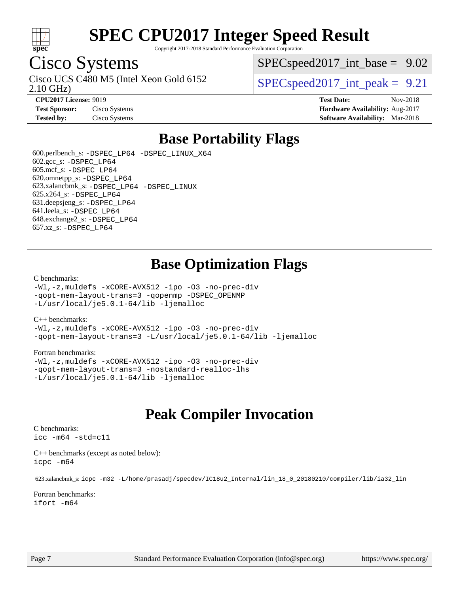

Copyright 2017-2018 Standard Performance Evaluation Corporation

## Cisco Systems

2.10 GHz) Cisco UCS C480 M5 (Intel Xeon Gold 6152  $\vert$  [SPECspeed2017\\_int\\_peak =](http://www.spec.org/auto/cpu2017/Docs/result-fields.html#SPECspeed2017intpeak) 9.21

 $SPECspeed2017\_int\_base = 9.02$ 

**[CPU2017 License:](http://www.spec.org/auto/cpu2017/Docs/result-fields.html#CPU2017License)** 9019 **[Test Date:](http://www.spec.org/auto/cpu2017/Docs/result-fields.html#TestDate)** Nov-2018 **[Test Sponsor:](http://www.spec.org/auto/cpu2017/Docs/result-fields.html#TestSponsor)** Cisco Systems **[Hardware Availability:](http://www.spec.org/auto/cpu2017/Docs/result-fields.html#HardwareAvailability)** Aug-2017 **[Tested by:](http://www.spec.org/auto/cpu2017/Docs/result-fields.html#Testedby)** Cisco Systems **[Software Availability:](http://www.spec.org/auto/cpu2017/Docs/result-fields.html#SoftwareAvailability)** Mar-2018

## **[Base Portability Flags](http://www.spec.org/auto/cpu2017/Docs/result-fields.html#BasePortabilityFlags)**

 600.perlbench\_s: [-DSPEC\\_LP64](http://www.spec.org/cpu2017/results/res2018q4/cpu2017-20181127-09970.flags.html#b600.perlbench_s_basePORTABILITY_DSPEC_LP64) [-DSPEC\\_LINUX\\_X64](http://www.spec.org/cpu2017/results/res2018q4/cpu2017-20181127-09970.flags.html#b600.perlbench_s_baseCPORTABILITY_DSPEC_LINUX_X64) 602.gcc\_s: [-DSPEC\\_LP64](http://www.spec.org/cpu2017/results/res2018q4/cpu2017-20181127-09970.flags.html#suite_basePORTABILITY602_gcc_s_DSPEC_LP64) 605.mcf\_s: [-DSPEC\\_LP64](http://www.spec.org/cpu2017/results/res2018q4/cpu2017-20181127-09970.flags.html#suite_basePORTABILITY605_mcf_s_DSPEC_LP64) 620.omnetpp\_s: [-DSPEC\\_LP64](http://www.spec.org/cpu2017/results/res2018q4/cpu2017-20181127-09970.flags.html#suite_basePORTABILITY620_omnetpp_s_DSPEC_LP64) 623.xalancbmk\_s: [-DSPEC\\_LP64](http://www.spec.org/cpu2017/results/res2018q4/cpu2017-20181127-09970.flags.html#suite_basePORTABILITY623_xalancbmk_s_DSPEC_LP64) [-DSPEC\\_LINUX](http://www.spec.org/cpu2017/results/res2018q4/cpu2017-20181127-09970.flags.html#b623.xalancbmk_s_baseCXXPORTABILITY_DSPEC_LINUX) 625.x264\_s: [-DSPEC\\_LP64](http://www.spec.org/cpu2017/results/res2018q4/cpu2017-20181127-09970.flags.html#suite_basePORTABILITY625_x264_s_DSPEC_LP64) 631.deepsjeng\_s: [-DSPEC\\_LP64](http://www.spec.org/cpu2017/results/res2018q4/cpu2017-20181127-09970.flags.html#suite_basePORTABILITY631_deepsjeng_s_DSPEC_LP64) 641.leela\_s: [-DSPEC\\_LP64](http://www.spec.org/cpu2017/results/res2018q4/cpu2017-20181127-09970.flags.html#suite_basePORTABILITY641_leela_s_DSPEC_LP64) 648.exchange2\_s: [-DSPEC\\_LP64](http://www.spec.org/cpu2017/results/res2018q4/cpu2017-20181127-09970.flags.html#suite_basePORTABILITY648_exchange2_s_DSPEC_LP64) 657.xz\_s: [-DSPEC\\_LP64](http://www.spec.org/cpu2017/results/res2018q4/cpu2017-20181127-09970.flags.html#suite_basePORTABILITY657_xz_s_DSPEC_LP64)

### **[Base Optimization Flags](http://www.spec.org/auto/cpu2017/Docs/result-fields.html#BaseOptimizationFlags)**

#### [C benchmarks](http://www.spec.org/auto/cpu2017/Docs/result-fields.html#Cbenchmarks):

[-Wl,-z,muldefs](http://www.spec.org/cpu2017/results/res2018q4/cpu2017-20181127-09970.flags.html#user_CCbase_link_force_multiple1_b4cbdb97b34bdee9ceefcfe54f4c8ea74255f0b02a4b23e853cdb0e18eb4525ac79b5a88067c842dd0ee6996c24547a27a4b99331201badda8798ef8a743f577) [-xCORE-AVX512](http://www.spec.org/cpu2017/results/res2018q4/cpu2017-20181127-09970.flags.html#user_CCbase_f-xCORE-AVX512) [-ipo](http://www.spec.org/cpu2017/results/res2018q4/cpu2017-20181127-09970.flags.html#user_CCbase_f-ipo) [-O3](http://www.spec.org/cpu2017/results/res2018q4/cpu2017-20181127-09970.flags.html#user_CCbase_f-O3) [-no-prec-div](http://www.spec.org/cpu2017/results/res2018q4/cpu2017-20181127-09970.flags.html#user_CCbase_f-no-prec-div) [-qopt-mem-layout-trans=3](http://www.spec.org/cpu2017/results/res2018q4/cpu2017-20181127-09970.flags.html#user_CCbase_f-qopt-mem-layout-trans_de80db37974c74b1f0e20d883f0b675c88c3b01e9d123adea9b28688d64333345fb62bc4a798493513fdb68f60282f9a726aa07f478b2f7113531aecce732043) [-qopenmp](http://www.spec.org/cpu2017/results/res2018q4/cpu2017-20181127-09970.flags.html#user_CCbase_qopenmp_16be0c44f24f464004c6784a7acb94aca937f053568ce72f94b139a11c7c168634a55f6653758ddd83bcf7b8463e8028bb0b48b77bcddc6b78d5d95bb1df2967) [-DSPEC\\_OPENMP](http://www.spec.org/cpu2017/results/res2018q4/cpu2017-20181127-09970.flags.html#suite_CCbase_DSPEC_OPENMP) [-L/usr/local/je5.0.1-64/lib](http://www.spec.org/cpu2017/results/res2018q4/cpu2017-20181127-09970.flags.html#user_CCbase_jemalloc_link_path64_4b10a636b7bce113509b17f3bd0d6226c5fb2346b9178c2d0232c14f04ab830f976640479e5c33dc2bcbbdad86ecfb6634cbbd4418746f06f368b512fced5394) [-ljemalloc](http://www.spec.org/cpu2017/results/res2018q4/cpu2017-20181127-09970.flags.html#user_CCbase_jemalloc_link_lib_d1249b907c500fa1c0672f44f562e3d0f79738ae9e3c4a9c376d49f265a04b9c99b167ecedbf6711b3085be911c67ff61f150a17b3472be731631ba4d0471706)

#### [C++ benchmarks:](http://www.spec.org/auto/cpu2017/Docs/result-fields.html#CXXbenchmarks)

[-Wl,-z,muldefs](http://www.spec.org/cpu2017/results/res2018q4/cpu2017-20181127-09970.flags.html#user_CXXbase_link_force_multiple1_b4cbdb97b34bdee9ceefcfe54f4c8ea74255f0b02a4b23e853cdb0e18eb4525ac79b5a88067c842dd0ee6996c24547a27a4b99331201badda8798ef8a743f577) [-xCORE-AVX512](http://www.spec.org/cpu2017/results/res2018q4/cpu2017-20181127-09970.flags.html#user_CXXbase_f-xCORE-AVX512) [-ipo](http://www.spec.org/cpu2017/results/res2018q4/cpu2017-20181127-09970.flags.html#user_CXXbase_f-ipo) [-O3](http://www.spec.org/cpu2017/results/res2018q4/cpu2017-20181127-09970.flags.html#user_CXXbase_f-O3) [-no-prec-div](http://www.spec.org/cpu2017/results/res2018q4/cpu2017-20181127-09970.flags.html#user_CXXbase_f-no-prec-div) [-qopt-mem-layout-trans=3](http://www.spec.org/cpu2017/results/res2018q4/cpu2017-20181127-09970.flags.html#user_CXXbase_f-qopt-mem-layout-trans_de80db37974c74b1f0e20d883f0b675c88c3b01e9d123adea9b28688d64333345fb62bc4a798493513fdb68f60282f9a726aa07f478b2f7113531aecce732043) [-L/usr/local/je5.0.1-64/lib](http://www.spec.org/cpu2017/results/res2018q4/cpu2017-20181127-09970.flags.html#user_CXXbase_jemalloc_link_path64_4b10a636b7bce113509b17f3bd0d6226c5fb2346b9178c2d0232c14f04ab830f976640479e5c33dc2bcbbdad86ecfb6634cbbd4418746f06f368b512fced5394) [-ljemalloc](http://www.spec.org/cpu2017/results/res2018q4/cpu2017-20181127-09970.flags.html#user_CXXbase_jemalloc_link_lib_d1249b907c500fa1c0672f44f562e3d0f79738ae9e3c4a9c376d49f265a04b9c99b167ecedbf6711b3085be911c67ff61f150a17b3472be731631ba4d0471706)

#### [Fortran benchmarks](http://www.spec.org/auto/cpu2017/Docs/result-fields.html#Fortranbenchmarks):

[-Wl,-z,muldefs](http://www.spec.org/cpu2017/results/res2018q4/cpu2017-20181127-09970.flags.html#user_FCbase_link_force_multiple1_b4cbdb97b34bdee9ceefcfe54f4c8ea74255f0b02a4b23e853cdb0e18eb4525ac79b5a88067c842dd0ee6996c24547a27a4b99331201badda8798ef8a743f577) [-xCORE-AVX512](http://www.spec.org/cpu2017/results/res2018q4/cpu2017-20181127-09970.flags.html#user_FCbase_f-xCORE-AVX512) [-ipo](http://www.spec.org/cpu2017/results/res2018q4/cpu2017-20181127-09970.flags.html#user_FCbase_f-ipo) [-O3](http://www.spec.org/cpu2017/results/res2018q4/cpu2017-20181127-09970.flags.html#user_FCbase_f-O3) [-no-prec-div](http://www.spec.org/cpu2017/results/res2018q4/cpu2017-20181127-09970.flags.html#user_FCbase_f-no-prec-div) [-qopt-mem-layout-trans=3](http://www.spec.org/cpu2017/results/res2018q4/cpu2017-20181127-09970.flags.html#user_FCbase_f-qopt-mem-layout-trans_de80db37974c74b1f0e20d883f0b675c88c3b01e9d123adea9b28688d64333345fb62bc4a798493513fdb68f60282f9a726aa07f478b2f7113531aecce732043) [-nostandard-realloc-lhs](http://www.spec.org/cpu2017/results/res2018q4/cpu2017-20181127-09970.flags.html#user_FCbase_f_2003_std_realloc_82b4557e90729c0f113870c07e44d33d6f5a304b4f63d4c15d2d0f1fab99f5daaed73bdb9275d9ae411527f28b936061aa8b9c8f2d63842963b95c9dd6426b8a) [-L/usr/local/je5.0.1-64/lib](http://www.spec.org/cpu2017/results/res2018q4/cpu2017-20181127-09970.flags.html#user_FCbase_jemalloc_link_path64_4b10a636b7bce113509b17f3bd0d6226c5fb2346b9178c2d0232c14f04ab830f976640479e5c33dc2bcbbdad86ecfb6634cbbd4418746f06f368b512fced5394) [-ljemalloc](http://www.spec.org/cpu2017/results/res2018q4/cpu2017-20181127-09970.flags.html#user_FCbase_jemalloc_link_lib_d1249b907c500fa1c0672f44f562e3d0f79738ae9e3c4a9c376d49f265a04b9c99b167ecedbf6711b3085be911c67ff61f150a17b3472be731631ba4d0471706)

## **[Peak Compiler Invocation](http://www.spec.org/auto/cpu2017/Docs/result-fields.html#PeakCompilerInvocation)**

#### [C benchmarks](http://www.spec.org/auto/cpu2017/Docs/result-fields.html#Cbenchmarks):

[icc -m64 -std=c11](http://www.spec.org/cpu2017/results/res2018q4/cpu2017-20181127-09970.flags.html#user_CCpeak_intel_icc_64bit_c11_33ee0cdaae7deeeab2a9725423ba97205ce30f63b9926c2519791662299b76a0318f32ddfffdc46587804de3178b4f9328c46fa7c2b0cd779d7a61945c91cd35)

[C++ benchmarks \(except as noted below\):](http://www.spec.org/auto/cpu2017/Docs/result-fields.html#CXXbenchmarksexceptasnotedbelow) [icpc -m64](http://www.spec.org/cpu2017/results/res2018q4/cpu2017-20181127-09970.flags.html#user_CXXpeak_intel_icpc_64bit_4ecb2543ae3f1412ef961e0650ca070fec7b7afdcd6ed48761b84423119d1bf6bdf5cad15b44d48e7256388bc77273b966e5eb805aefd121eb22e9299b2ec9d9)

623.xalancbmk\_s: [icpc -m32 -L/home/prasadj/specdev/IC18u2\\_Internal/lin\\_18\\_0\\_20180210/compiler/lib/ia32\\_lin](http://www.spec.org/cpu2017/results/res2018q4/cpu2017-20181127-09970.flags.html#user_peakCXXLD623_xalancbmk_s_intel_icpc_c6d030cd79af6ea7d6fb64c57e8fe7ae8fe0b96fc5a3b3f4a10e3273b3d7fa9decd8263f6330cef23f751cb093a69fae84a2bf4c243500a8eed069248128076f)

[Fortran benchmarks](http://www.spec.org/auto/cpu2017/Docs/result-fields.html#Fortranbenchmarks): [ifort -m64](http://www.spec.org/cpu2017/results/res2018q4/cpu2017-20181127-09970.flags.html#user_FCpeak_intel_ifort_64bit_24f2bb282fbaeffd6157abe4f878425411749daecae9a33200eee2bee2fe76f3b89351d69a8130dd5949958ce389cf37ff59a95e7a40d588e8d3a57e0c3fd751)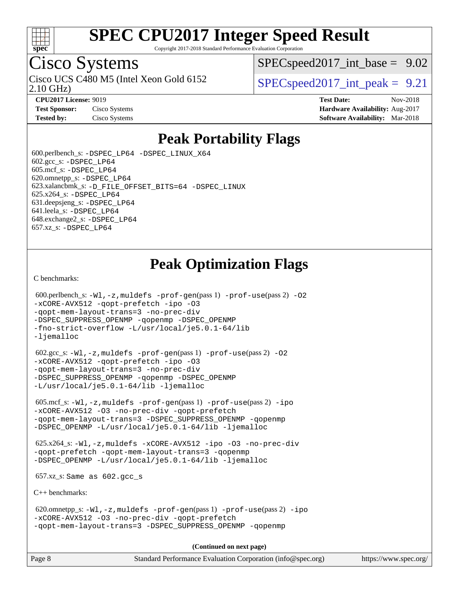

Copyright 2017-2018 Standard Performance Evaluation Corporation

## Cisco Systems

2.10 GHz) Cisco UCS C480 M5 (Intel Xeon Gold 6152  $\vert$  [SPECspeed2017\\_int\\_peak =](http://www.spec.org/auto/cpu2017/Docs/result-fields.html#SPECspeed2017intpeak) 9.21

 $SPEC speed2017\_int\_base = 9.02$ 

**[CPU2017 License:](http://www.spec.org/auto/cpu2017/Docs/result-fields.html#CPU2017License)** 9019 **[Test Date:](http://www.spec.org/auto/cpu2017/Docs/result-fields.html#TestDate)** Nov-2018 **[Test Sponsor:](http://www.spec.org/auto/cpu2017/Docs/result-fields.html#TestSponsor)** Cisco Systems **Cisco Systems [Hardware Availability:](http://www.spec.org/auto/cpu2017/Docs/result-fields.html#HardwareAvailability)** Aug-2017 **[Tested by:](http://www.spec.org/auto/cpu2017/Docs/result-fields.html#Testedby)** Cisco Systems **[Software Availability:](http://www.spec.org/auto/cpu2017/Docs/result-fields.html#SoftwareAvailability)** Mar-2018

## **[Peak Portability Flags](http://www.spec.org/auto/cpu2017/Docs/result-fields.html#PeakPortabilityFlags)**

 600.perlbench\_s: [-DSPEC\\_LP64](http://www.spec.org/cpu2017/results/res2018q4/cpu2017-20181127-09970.flags.html#b600.perlbench_s_peakPORTABILITY_DSPEC_LP64) [-DSPEC\\_LINUX\\_X64](http://www.spec.org/cpu2017/results/res2018q4/cpu2017-20181127-09970.flags.html#b600.perlbench_s_peakCPORTABILITY_DSPEC_LINUX_X64)  $602.\text{gcc}\$ s:  $-DSPEC$  LP64 605.mcf\_s: [-DSPEC\\_LP64](http://www.spec.org/cpu2017/results/res2018q4/cpu2017-20181127-09970.flags.html#suite_peakPORTABILITY605_mcf_s_DSPEC_LP64) 620.omnetpp\_s: [-DSPEC\\_LP64](http://www.spec.org/cpu2017/results/res2018q4/cpu2017-20181127-09970.flags.html#suite_peakPORTABILITY620_omnetpp_s_DSPEC_LP64) 623.xalancbmk\_s: [-D\\_FILE\\_OFFSET\\_BITS=64](http://www.spec.org/cpu2017/results/res2018q4/cpu2017-20181127-09970.flags.html#user_peakPORTABILITY623_xalancbmk_s_file_offset_bits_64_5ae949a99b284ddf4e95728d47cb0843d81b2eb0e18bdfe74bbf0f61d0b064f4bda2f10ea5eb90e1dcab0e84dbc592acfc5018bc955c18609f94ddb8d550002c) [-DSPEC\\_LINUX](http://www.spec.org/cpu2017/results/res2018q4/cpu2017-20181127-09970.flags.html#b623.xalancbmk_s_peakCXXPORTABILITY_DSPEC_LINUX) 625.x264\_s: [-DSPEC\\_LP64](http://www.spec.org/cpu2017/results/res2018q4/cpu2017-20181127-09970.flags.html#suite_peakPORTABILITY625_x264_s_DSPEC_LP64) 631.deepsjeng\_s: [-DSPEC\\_LP64](http://www.spec.org/cpu2017/results/res2018q4/cpu2017-20181127-09970.flags.html#suite_peakPORTABILITY631_deepsjeng_s_DSPEC_LP64) 641.leela\_s: [-DSPEC\\_LP64](http://www.spec.org/cpu2017/results/res2018q4/cpu2017-20181127-09970.flags.html#suite_peakPORTABILITY641_leela_s_DSPEC_LP64) 648.exchange2\_s: [-DSPEC\\_LP64](http://www.spec.org/cpu2017/results/res2018q4/cpu2017-20181127-09970.flags.html#suite_peakPORTABILITY648_exchange2_s_DSPEC_LP64) 657.xz\_s: [-DSPEC\\_LP64](http://www.spec.org/cpu2017/results/res2018q4/cpu2017-20181127-09970.flags.html#suite_peakPORTABILITY657_xz_s_DSPEC_LP64)

## **[Peak Optimization Flags](http://www.spec.org/auto/cpu2017/Docs/result-fields.html#PeakOptimizationFlags)**

[C benchmarks](http://www.spec.org/auto/cpu2017/Docs/result-fields.html#Cbenchmarks):

```
600.perlbench_s: -W1-prof-gen-prof-use(pass 2) -02
-xCORE-AVX512 -qopt-prefetch -ipo -O3
-qopt-mem-layout-trans=3 -no-prec-div
-DSPEC_SUPPRESS_OPENMP -qopenmp -DSPEC_OPENMP
-fno-strict-overflow -L/usr/local/je5.0.1-64/lib
-ljemalloc
 602.gcc_s: -Wl,-z,muldefs -prof-gen(pass 1) -prof-use(pass 2) -O2
-xCORE-AVX512 -qopt-prefetch -ipo -O3
-qopt-mem-layout-trans=3 -no-prec-div
-DSPEC_SUPPRESS_OPENMP -qopenmp -DSPEC_OPENMP
-L/usr/local/je5.0.1-64/lib -ljemalloc
 605.mcf_s: -Wl,-z,muldefs -prof-gen(pass 1) -prof-use(pass 2) -ipo
-xCORE-AVX512 -O3 -no-prec-div -qopt-prefetch
-qopt-mem-layout-trans=3 -DSPEC_SUPPRESS_OPENMP -qopenmp
-DSPEC_OPENMP -L/usr/local/je5.0.1-64/lib -ljemalloc
 625.x264_s: -Wl,-z,muldefs -xCORE-AVX512 -ipo -O3 -no-prec-div
-qopt-prefetch -qopt-mem-layout-trans=3 -qopenmp
-DSPEC_OPENMP -L/usr/local/je5.0.1-64/lib -ljemalloc
 657.xz_s: Same as 602.gcc_s
C++ benchmarks: 
 620.omnetpp_s: -Wl,-z,muldefs -prof-gen(pass 1) -prof-use(pass 2) -ipo
-xCORE-AVX512 -O3 -no-prec-div -qopt-prefetch
-qopt-mem-layout-trans=3 -DSPEC_SUPPRESS_OPENMP -qopenmp
                                     (Continued on next page)
```
Page 8 Standard Performance Evaluation Corporation [\(info@spec.org\)](mailto:info@spec.org) <https://www.spec.org/>